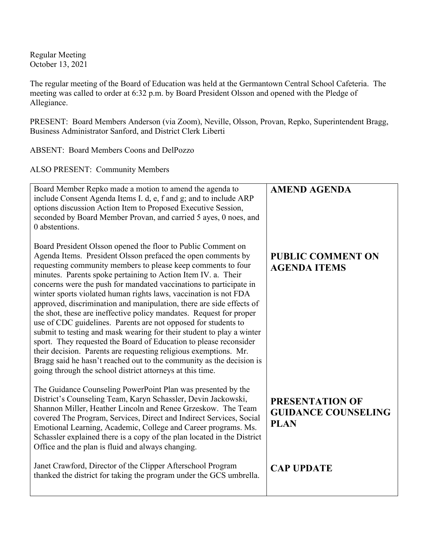Regular Meeting October 13, 2021

The regular meeting of the Board of Education was held at the Germantown Central School Cafeteria. The meeting was called to order at 6:32 p.m. by Board President Olsson and opened with the Pledge of Allegiance.

PRESENT: Board Members Anderson (via Zoom), Neville, Olsson, Provan, Repko, Superintendent Bragg, Business Administrator Sanford, and District Clerk Liberti

ABSENT: Board Members Coons and DelPozzo

ALSO PRESENT: Community Members

| Board Member Repko made a motion to amend the agenda to<br>include Consent Agenda Items I. d, e, f and g; and to include ARP<br>options discussion Action Item to Proposed Executive Session,<br>seconded by Board Member Provan, and carried 5 ayes, 0 noes, and<br>0 abstentions.                                                                                                                                                                                                                                                                                                                                                                                                                                                                                                                                                                                                                                                                                             | <b>AMEND AGENDA</b>                                                 |
|---------------------------------------------------------------------------------------------------------------------------------------------------------------------------------------------------------------------------------------------------------------------------------------------------------------------------------------------------------------------------------------------------------------------------------------------------------------------------------------------------------------------------------------------------------------------------------------------------------------------------------------------------------------------------------------------------------------------------------------------------------------------------------------------------------------------------------------------------------------------------------------------------------------------------------------------------------------------------------|---------------------------------------------------------------------|
| Board President Olsson opened the floor to Public Comment on<br>Agenda Items. President Olsson prefaced the open comments by<br>requesting community members to please keep comments to four<br>minutes. Parents spoke pertaining to Action Item IV. a. Their<br>concerns were the push for mandated vaccinations to participate in<br>winter sports violated human rights laws, vaccination is not FDA<br>approved, discrimination and manipulation, there are side effects of<br>the shot, these are ineffective policy mandates. Request for proper<br>use of CDC guidelines. Parents are not opposed for students to<br>submit to testing and mask wearing for their student to play a winter<br>sport. They requested the Board of Education to please reconsider<br>their decision. Parents are requesting religious exemptions. Mr.<br>Bragg said he hasn't reached out to the community as the decision is<br>going through the school district attorneys at this time. | <b>PUBLIC COMMENT ON</b><br><b>AGENDA ITEMS</b>                     |
| The Guidance Counseling PowerPoint Plan was presented by the<br>District's Counseling Team, Karyn Schassler, Devin Jackowski,<br>Shannon Miller, Heather Lincoln and Renee Grzeskow. The Team<br>covered The Program, Services, Direct and Indirect Services, Social<br>Emotional Learning, Academic, College and Career programs. Ms.<br>Schassler explained there is a copy of the plan located in the District<br>Office and the plan is fluid and always changing.                                                                                                                                                                                                                                                                                                                                                                                                                                                                                                          | <b>PRESENTATION OF</b><br><b>GUIDANCE COUNSELING</b><br><b>PLAN</b> |
| Janet Crawford, Director of the Clipper Afterschool Program<br>thanked the district for taking the program under the GCS umbrella.                                                                                                                                                                                                                                                                                                                                                                                                                                                                                                                                                                                                                                                                                                                                                                                                                                              | <b>CAP UPDATE</b>                                                   |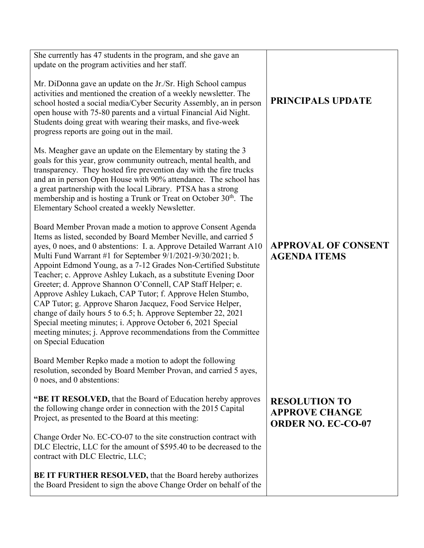| She currently has 47 students in the program, and she gave an<br>update on the program activities and her staff.                                                                                                                                                                                                                                                                                                                                                                                                                                                                                                                                                                                                                                                                                                                |                                                                            |
|---------------------------------------------------------------------------------------------------------------------------------------------------------------------------------------------------------------------------------------------------------------------------------------------------------------------------------------------------------------------------------------------------------------------------------------------------------------------------------------------------------------------------------------------------------------------------------------------------------------------------------------------------------------------------------------------------------------------------------------------------------------------------------------------------------------------------------|----------------------------------------------------------------------------|
| Mr. DiDonna gave an update on the Jr./Sr. High School campus<br>activities and mentioned the creation of a weekly newsletter. The<br>school hosted a social media/Cyber Security Assembly, an in person<br>open house with 75-80 parents and a virtual Financial Aid Night.<br>Students doing great with wearing their masks, and five-week<br>progress reports are going out in the mail.                                                                                                                                                                                                                                                                                                                                                                                                                                      | <b>PRINCIPALS UPDATE</b>                                                   |
| Ms. Meagher gave an update on the Elementary by stating the 3<br>goals for this year, grow community outreach, mental health, and<br>transparency. They hosted fire prevention day with the fire trucks<br>and an in person Open House with 90% attendance. The school has<br>a great partnership with the local Library. PTSA has a strong<br>membership and is hosting a Trunk or Treat on October 30 <sup>th</sup> . The<br>Elementary School created a weekly Newsletter.                                                                                                                                                                                                                                                                                                                                                   |                                                                            |
| Board Member Provan made a motion to approve Consent Agenda<br>Items as listed, seconded by Board Member Neville, and carried 5<br>ayes, 0 noes, and 0 abstentions: I. a. Approve Detailed Warrant A10<br>Multi Fund Warrant #1 for September 9/1/2021-9/30/2021; b.<br>Appoint Edmond Young, as a 7-12 Grades Non-Certified Substitute<br>Teacher; c. Approve Ashley Lukach, as a substitute Evening Door<br>Greeter; d. Approve Shannon O'Connell, CAP Staff Helper; e.<br>Approve Ashley Lukach, CAP Tutor; f. Approve Helen Stumbo,<br>CAP Tutor; g. Approve Sharon Jacquez, Food Service Helper,<br>change of daily hours 5 to 6.5; h. Approve September 22, 2021<br>Special meeting minutes; i. Approve October 6, 2021 Special<br>meeting minutes; j. Approve recommendations from the Committee<br>on Special Education | <b>APPROVAL OF CONSENT</b><br><b>AGENDA ITEMS</b>                          |
| Board Member Repko made a motion to adopt the following<br>resolution, seconded by Board Member Provan, and carried 5 ayes,<br>0 noes, and 0 abstentions:                                                                                                                                                                                                                                                                                                                                                                                                                                                                                                                                                                                                                                                                       |                                                                            |
| "BE IT RESOLVED, that the Board of Education hereby approves<br>the following change order in connection with the 2015 Capital<br>Project, as presented to the Board at this meeting:                                                                                                                                                                                                                                                                                                                                                                                                                                                                                                                                                                                                                                           | <b>RESOLUTION TO</b><br><b>APPROVE CHANGE</b><br><b>ORDER NO. EC-CO-07</b> |
| Change Order No. EC-CO-07 to the site construction contract with<br>DLC Electric, LLC for the amount of \$595.40 to be decreased to the<br>contract with DLC Electric, LLC;                                                                                                                                                                                                                                                                                                                                                                                                                                                                                                                                                                                                                                                     |                                                                            |
| <b>BE IT FURTHER RESOLVED, that the Board hereby authorizes</b><br>the Board President to sign the above Change Order on behalf of the                                                                                                                                                                                                                                                                                                                                                                                                                                                                                                                                                                                                                                                                                          |                                                                            |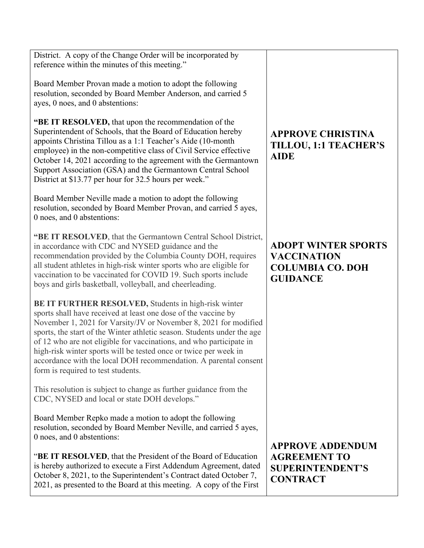District. A copy of the Change Order will be incorporated by reference within the minutes of this meeting."

Board Member Provan made a motion to adopt the following resolution, seconded by Board Member Anderson, and carried 5 ayes, 0 noes, and 0 abstentions:

**"BE IT RESOLVED,** that upon the recommendation of the Superintendent of Schools, that the Board of Education hereby appoints Christina Tillou as a 1:1 Teacher's Aide (10-month employee) in the non-competitive class of Civil Service effective October 14, 2021 according to the agreement with the Germantown Support Association (GSA) and the Germantown Central School District at \$13.77 per hour for 32.5 hours per week."

Board Member Neville made a motion to adopt the following resolution, seconded by Board Member Provan, and carried 5 ayes, 0 noes, and 0 abstentions:

**"BE IT RESOLVED**, that the Germantown Central School District, in accordance with CDC and NYSED guidance and the recommendation provided by the Columbia County DOH, requires all student athletes in high-risk winter sports who are eligible for vaccination to be vaccinated for COVID 19. Such sports include boys and girls basketball, volleyball, and cheerleading.

**BE IT FURTHER RESOLVED,** Students in high-risk winter sports shall have received at least one dose of the vaccine by November 1, 2021 for Varsity/JV or November 8, 2021 for modified sports, the start of the Winter athletic season. Students under the age of 12 who are not eligible for vaccinations, and who participate in high-risk winter sports will be tested once or twice per week in accordance with the local DOH recommendation. A parental consent form is required to test students.

This resolution is subject to change as further guidance from the CDC, NYSED and local or state DOH develops."

Board Member Repko made a motion to adopt the following resolution, seconded by Board Member Neville, and carried 5 ayes, 0 noes, and 0 abstentions:

"**BE IT RESOLVED**, that the President of the Board of Education is hereby authorized to execute a First Addendum Agreement, dated October 8, 2021, to the Superintendent's Contract dated October 7, 2021, as presented to the Board at this meeting. A copy of the First

## **APPROVE CHRISTINA TILLOU, 1:1 TEACHER'S AIDE**

## **ADOPT WINTER SPORTS VACCINATION COLUMBIA CO. DOH GUIDANCE**

**APPROVE ADDENDUM AGREEMENT TO SUPERINTENDENT'S CONTRACT**